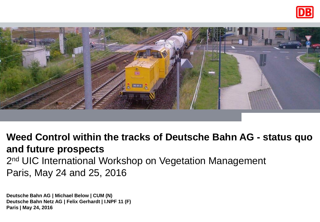



**Weed Control within the tracks of Deutsche Bahn AG - status quo and future prospects** 2<sup>nd</sup> UIC International Workshop on Vegetation Management Paris, May 24 and 25, 2016

**Deutsche Bahn AG | Michael Below | CUM (N) Deutsche Bahn Netz AG | Felix Gerhardt | I.NPF 11 (F) Paris | May 24, 2016**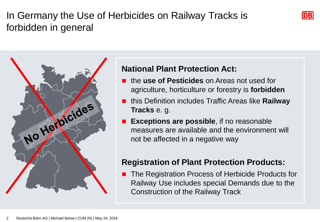# In Germany the Use of Herbicides on Railway Tracks is forbidden in general



#### **National Plant Protection Act:**

 the **use of Pesticides** on Areas not used for agriculture, horticulture or forestry is **forbidden** **DB** 

- this Definition includes Traffic Areas like **Railway Tracks** e. g.
- **Exceptions are possible**, if no reasonable measures are available and the environment will not be affected in a negative way

#### **Registration of Plant Protection Products:**

 The Registration Process of Herbicide Products for Railway Use includes special Demands due to the Construction of the Railway Track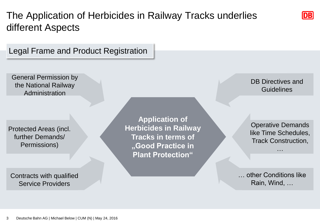## The Application of Herbicides in Railway Tracks underlies different Aspects

Legal Frame and Product Registration

General Permission by the National Railway Administration

Protected Areas (incl. further Demands/ Permissions)

Contracts with qualified Service Providers

**Application of Herbicides in Railway Tracks in terms of "Good Practice in Plant Protection"**

DB Directives and **Guidelines** 

**DB** 

Operative Demands like Time Schedules, Track Construction,

…

… other Conditions like Rain, Wind, …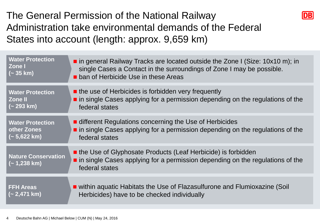## The General Permission of the National Railway Administration take environmental demands of the Federal States into account (length: approx. 9,659 km)



| <b>Water Protection</b>                     | in general Railway Tracks are located outside the Zone I (Size: $10x10$ m); in                                                                                                 |
|---------------------------------------------|--------------------------------------------------------------------------------------------------------------------------------------------------------------------------------|
| Zone I                                      | single Cases a Contact in the surroundings of Zone I may be possible.                                                                                                          |
| $(-35 km)$                                  | <b>E</b> ban of Herbicide Use in these Areas                                                                                                                                   |
| <b>Water Protection</b>                     | $\blacksquare$ the use of Herbicides is forbidden very frequently                                                                                                              |
| <b>Zone II</b>                              | $\blacksquare$ in single Cases applying for a permission depending on the regulations of the                                                                                   |
| (~293 km)                                   | federal states                                                                                                                                                                 |
| <b>Water Protection</b>                     | different Regulations concerning the Use of Herbicides                                                                                                                         |
| other Zones                                 | in single Cases applying for a permission depending on the regulations of the                                                                                                  |
| (~ 5,622 km)                                | federal states                                                                                                                                                                 |
| <b>Nature Conservation</b><br>$(-1,238$ km) | the Use of Glyphosate Products (Leaf Herbicide) is forbidden<br>$\blacksquare$ in single Cases applying for a permission depending on the regulations of the<br>federal states |
| <b>FFH Areas</b>                            | ■ within aquatic Habitats the Use of Flazasulfurone and Flumioxazine (Soil                                                                                                     |
| $(-2,471$ km)                               | Herbicides) have to be checked individually                                                                                                                                    |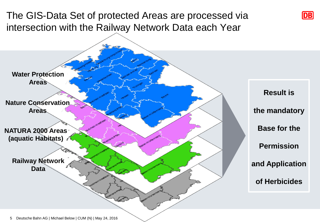### The GIS-Data Set of protected Areas are processed via intersection with the Railway Network Data each Year



**DB** 

5 Deutsche Bahn AG | Michael Below | CUM (N) | May 24, 2016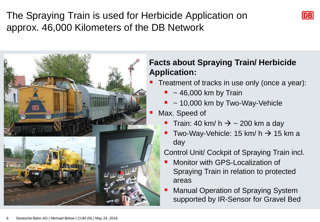The Spraying Train is used for Herbicide Application on approx. 46,000 Kilometers of the DB Network





#### **Facts about Spraying Train/ Herbicide Application:**

Treatment of tracks in use only (once a year):

- $\sim$  46,000 km by Train
- ~ 10,000 km by Two-Way-Vehicle

Max. Speed of

- Train: 40 km/ h  $\rightarrow$  ~ 200 km a day
- Two-Way-Vehicle: 15 km/ h  $\rightarrow$  15 km a day

Control Unit/ Cockpit of Spraying Train incl.

- Monitor with GPS-Localization of Spraying Train in relation to protected areas
- **Manual Operation of Spraying System** supported by IR-Sensor for Gravel Bed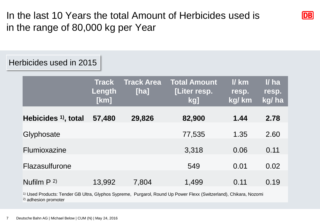In the last 10 Years the total Amount of Herbicides used is in the range of 80,000 kg per Year

**DB** 

#### Herbicides used in 2015

|                                | <b>Track</b><br>Length<br>[km] | <b>Track Area</b><br>[ha] | <b>Total Amount</b><br>[Liter resp.<br>kg] | $l$ km<br>resp.<br>kg/ km | II ha<br>resp.<br>kg/ha |
|--------------------------------|--------------------------------|---------------------------|--------------------------------------------|---------------------------|-------------------------|
| Hebicides <sup>1</sup> , total | 57,480                         | 29,826                    | 82,900                                     | 1.44                      | 2.78                    |
| Glyphosate                     |                                |                           | 77,535                                     | 1.35                      | 2.60                    |
| Flumioxazine                   |                                |                           | 3,318                                      | 0.06                      | 0.11                    |
| Flazasulfurone                 |                                |                           | 549                                        | 0.01                      | 0.02                    |
| Nufilm $P^{2}$                 | 13,992                         | 7,804                     | 1,499                                      | 0.11                      | 0.19                    |

1) Used Products: Tender GB Ultra, Glyphos Sypreme, Purgarol, Round Up Power Flexx (Switzerland), Chikara, Nozomi 2) adhesion promoter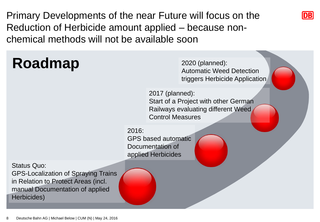Primary Developments of the near Future will focus on the Reduction of Herbicide amount applied – because nonchemical methods will not be available soon

**Roadmap** Status Quo: GPS-Localization of Spraying Trains in Relation to Protect Areas (incl. manual Documentation of applied 2016: GPS based automatic Documentation of applied Herbicides 2020 (planned): Automatic Weed Detection triggers Herbicide Application 2017 (planned): Start of a Project with other German Railways evaluating different Weed Control Measures

**DB** 

Deutsche Bahn AG | Michael Below | CUM (N) | May 24, 2016 8

Herbicides)